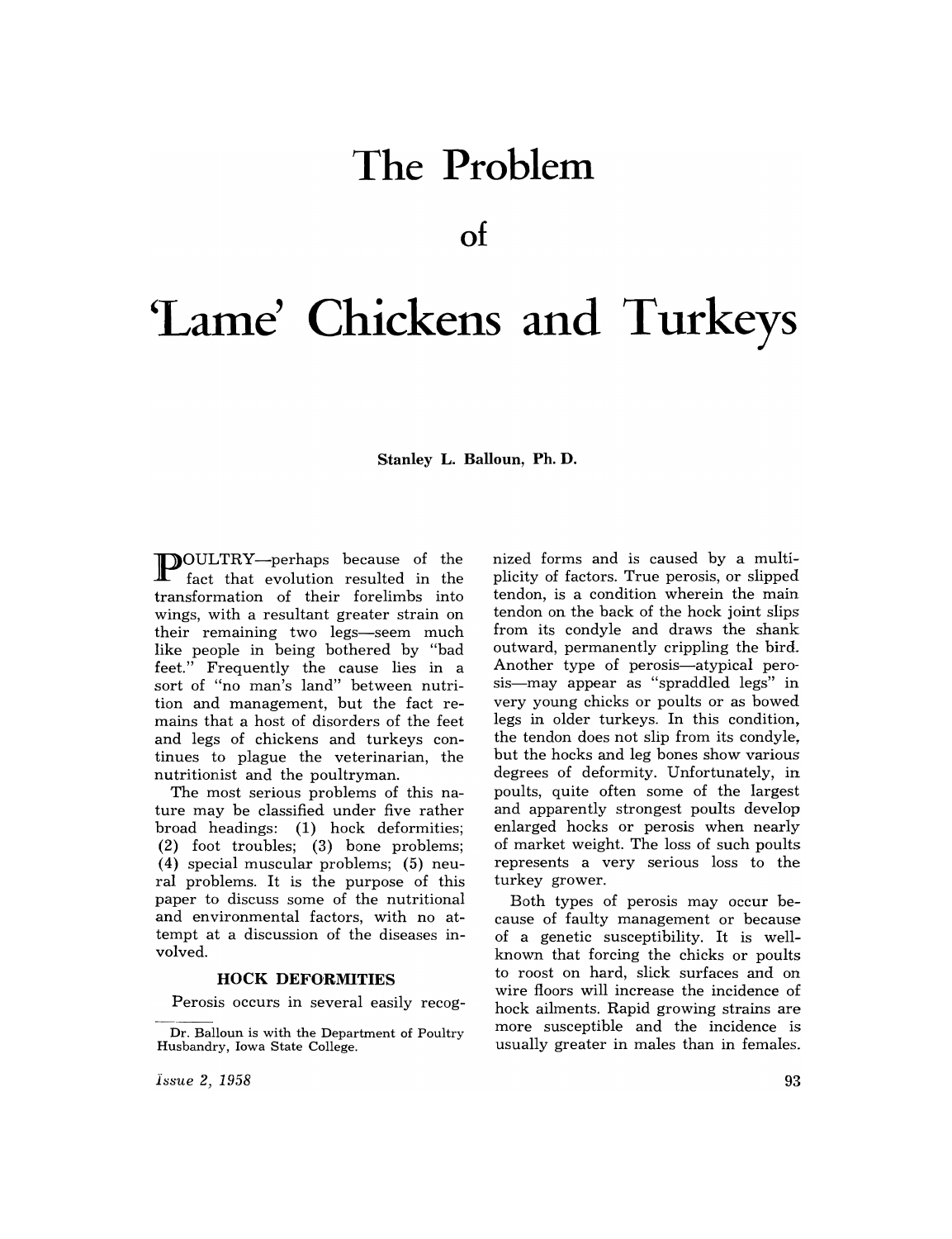# **The Problem**

**of** 

# 'Lame' Chickens and Turkeys

**Stanley L. Balloun, Ph. D.** 

**P** OULTRY—perhaps because of the fact that evolution resulted in the transformation of their forelimbs into wings, with a resultant greater strain on their remaining two legs-seem much like people in being bothered by "bad feet." Frequently the cause lies in a sort of "no man's land" between nutrition and management, but the fact remains that a host of disorders of the feet and legs of chickens and turkeys continues to plague the veterinarian, the nutritionist and the poultryman.

The most serious problems of this nature may be classified under five rather broad headings: (1) hock deformities; (2) foot troubles; (3) bone problems; (4) special muscular problems; (5) neural problems. It is the purpose of this paper to discuss some of the nutritional and environmental factors, with no attempt at a discussion of the diseases mvalved.

#### **HOCK DEFORMITIES**

Perosis occurs in several easily recog-

*issue* 2, 1958

nized forms and is caused by a multiplicity of factors. True perosis, or slipped tendon, is a condition wherein the main tendon on the back of the hock joint slips from its condyle and draws the shank outward, permanently crippling the bird\_ Another type of perosis—atypical perosis-may appear as "spraddled legs" in very young chicks or poults or as bowed legs in older turkeys. In this condition, the tendon does not slip from its condyle, but the hocks and leg bones show various degrees of deformity. Unfortunately, in poults, quite often some of the largest and apparently strongest poults develop enlarged hocks or perosis when nearly of market weight. The loss of such poults represents a very serious loss to the turkey grower.

Both types of perosis may occur because of faulty management or because of a genetic susceptibility. It is wellknown that forcing the chicks or poults to roost on hard, slick surfaces and on wire floors will increase the incidence of hock ailments. Rapid growing strains are more susceptible and the incidence is usually greater in males than in females.

Dr. Balloun is with the Department of Poultry Husbandry, Iowa State College.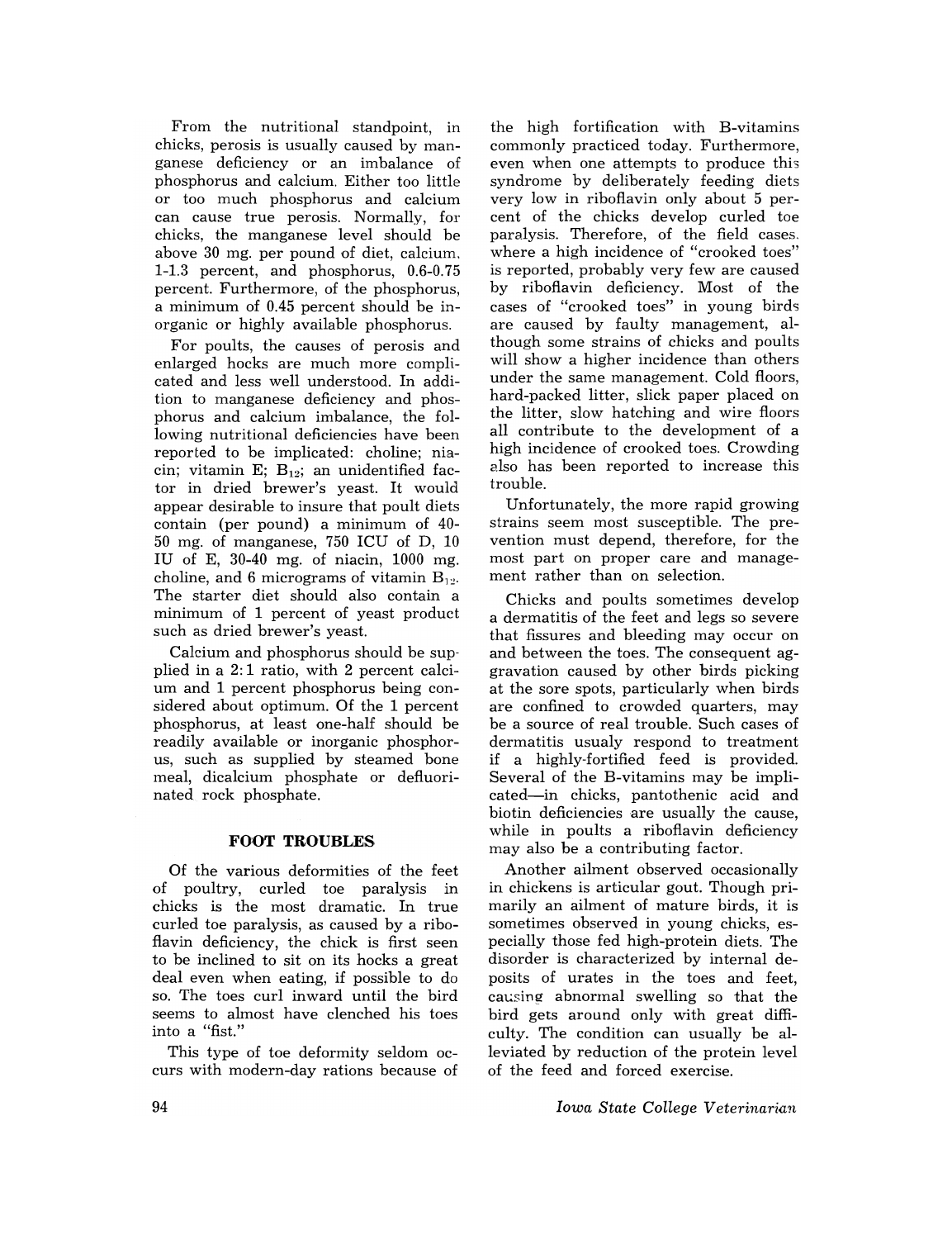From the nutritional standpoint, in chicks, perosis is usually caused by manganese deficiency or an imbalance of phosphorus and calcium. Either too little or too much phosphorus and calcium can cause true perosis. Normally, for chicks, the manganese level should be above 30 mg. per pound of diet, calcium. 1-1.3 percent, and phosphorus, 0.6-0.75 percent. Furthermore, of the phosphorus, a minimum of 0.45 percent should be inorganic or highly available phosphorus.

For poults, the causes of perosis and enlarged hocks are much more complicated and less well understood. In addition to manganese deficiency and phosphorus and calcium imbalance, the following nutritional deficiencies have been reported to be implicated: choline; niacin; vitamin E;  $B_{12}$ ; an unidentified factor in dried brewer's yeast. It would appear desirable to insure that poult diets contain (per pound) a minimum of 40- 50 mg. of manganese, 750 ICU of D, 10 IU of E, 30-40 mg. of niacin, 1000 mg. choline, and 6 micrograms of vitamin  $B_{12}$ . The starter diet should also contain a minimum of 1 percent of yeast product such as dried brewer's yeast.

Calcium and phosphorus should be supplied in a 2: 1 ratio, with 2 percent calcium and 1 percent phosphorus being considered about optimum. Of the 1 percent phosphorus, at least one-half should be readily available or inorganic phosphorus, such as supplied by steamed bone meal, dicalcium phosphate or defluorinated rock phosphate.

## **FOOT TROUBLES**

Of the various deformities of the feet of poultry, curled toe paralysis in chicks is the most dramatic. In true curled toe paralysis, as caused by a riboflavin deficiency, the chick is first seen to be inclined to sit on its hocks a great deal even when eating, if possible to do so. The toes curl inward until the bird seems to almost have clenched his toes into a "fist."

This type of toe deformity seldom occurs with modern-day rations because of the high fortification with B-vitamins commonly practiced today. Furthermore, even when one attempts to produce this syndrome by deliberately feeding diets very low in riboflavin only about 5 percent of the chicks develop curled toe paralysis. Therefore, of the field cases. where a high incidence of "crooked toes" is reported, probably very few are caused by riboflavin deficiency. Most of the cases of "crooked toes" in young birds are caused by faulty management, although some strains of chicks and poults will show a higher incidence than others under the same management. Cold floors, hard-packed litter, slick paper placed on the litter, slow hatching and wire floors all contribute to the development of a high incidence of crooked toes. Crowding also has been reported to increase this trouble.

Unfortunately, the more rapid growing strains seem most susceptible. The prevention must depend, therefore, for the most part on proper care and management rather than on selection.

Chicks and poults sometimes develop a dermatitis of the feet and legs so severe that fissures and bleeding may occur on and between the toes. The consequent aggravation caused by other birds picking at the sore spots, particularly when birds are confined to crowded quarters, may be a source of real trouble. Such cases of dermatitis usualy respond to treatment if a highly-fortified feed is provided. Several of the B-vitamins may be implicated-in chicks, pantothenic acid and biotin deficiencies are usually the cause, while in poults a riboflavin deficiency may also be a contributing factor.

Another ailment observed occasionally in chickens is articular gout. Though primarily an ailment of mature birds, it is sometimes observed in young chicks, especially those fed high-protein diets. The disorder is characterized by internal deposits of urates in the toes and feet, causing abnormal swelling so that the bird gets around only with great difficulty. The condition can usually be alleviated by reduction of the protein level of the feed and forced exercise.

*Iowa State College Veterinarian*